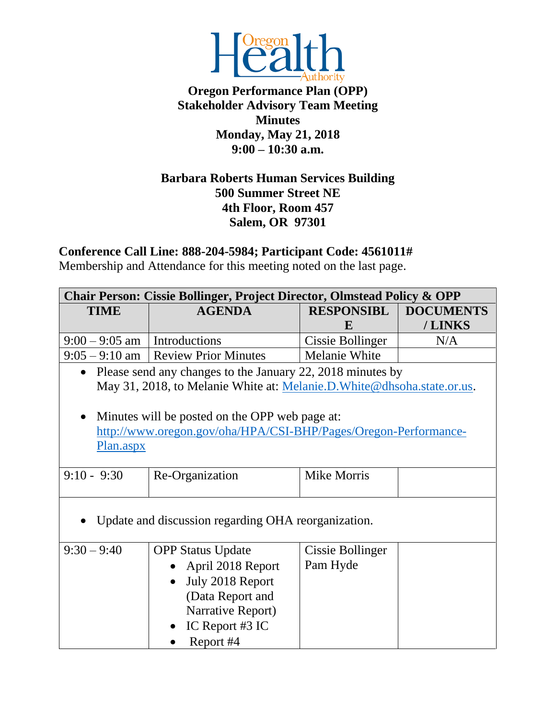

**Oregon Performance Plan (OPP) Stakeholder Advisory Team Meeting Minutes Monday, May 21, 2018 9:00 – 10:30 a.m.**

## **Barbara Roberts Human Services Building 500 Summer Street NE 4th Floor, Room 457 Salem, OR 97301**

**Conference Call Line: 888-204-5984; Participant Code: 4561011#**

Membership and Attendance for this meeting noted on the last page.

| <b>Chair Person: Cissie Bollinger, Project Director, Olmstead Policy &amp; OPP</b> |                                                                         |                         |                  |  |  |
|------------------------------------------------------------------------------------|-------------------------------------------------------------------------|-------------------------|------------------|--|--|
| <b>TIME</b>                                                                        | <b>AGENDA</b>                                                           | <b>RESPONSIBL</b>       | <b>DOCUMENTS</b> |  |  |
|                                                                                    |                                                                         | E                       | /LINKS           |  |  |
| $9:00 - 9:05$ am   Introductions                                                   |                                                                         | <b>Cissie Bollinger</b> | N/A              |  |  |
|                                                                                    | $9:05 - 9:10$ am Review Prior Minutes                                   |                         |                  |  |  |
| $\bullet$                                                                          | Please send any changes to the January 22, 2018 minutes by              |                         |                  |  |  |
|                                                                                    | May 31, 2018, to Melanie White at: Melanie.D. White@dhsoha.state.or.us. |                         |                  |  |  |
|                                                                                    |                                                                         |                         |                  |  |  |
|                                                                                    | Minutes will be posted on the OPP web page at:                          |                         |                  |  |  |
|                                                                                    | http://www.oregon.gov/oha/HPA/CSI-BHP/Pages/Oregon-Performance-         |                         |                  |  |  |
| Plan.aspx                                                                          |                                                                         |                         |                  |  |  |
|                                                                                    |                                                                         |                         |                  |  |  |
| $9:10 - 9:30$                                                                      | Re-Organization                                                         |                         |                  |  |  |
|                                                                                    |                                                                         |                         |                  |  |  |
|                                                                                    |                                                                         |                         |                  |  |  |
| Update and discussion regarding OHA reorganization.                                |                                                                         |                         |                  |  |  |
|                                                                                    |                                                                         |                         |                  |  |  |
| $9:30 - 9:40$<br><b>OPP Status Update</b>                                          |                                                                         | Cissie Bollinger        |                  |  |  |
| April 2018 Report<br>July 2018 Report                                              |                                                                         | Pam Hyde                |                  |  |  |
|                                                                                    |                                                                         |                         |                  |  |  |
|                                                                                    | (Data Report and                                                        |                         |                  |  |  |
|                                                                                    | Narrative Report)                                                       |                         |                  |  |  |
|                                                                                    | IC Report #3 IC                                                         |                         |                  |  |  |
|                                                                                    | Report #4                                                               |                         |                  |  |  |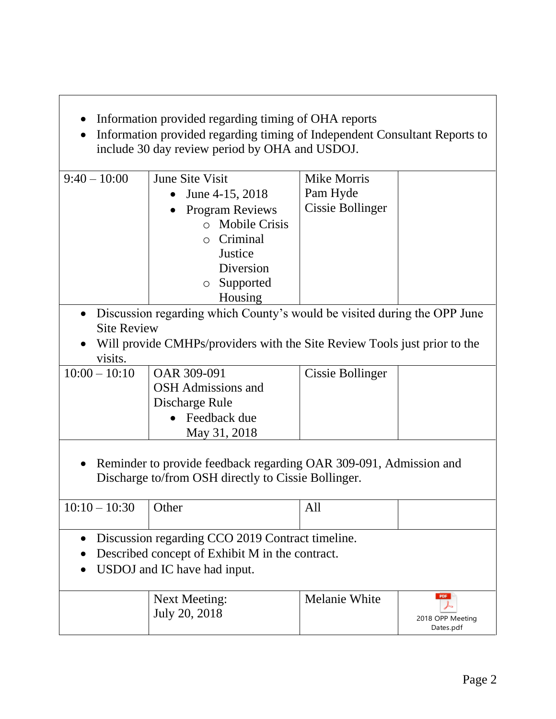- Information provided regarding timing of OHA reports
- Information provided regarding timing of Independent Consultant Reports to include 30 day review period by OHA and USDOJ.

| $9:40-10:00$                                                             | <b>June Site Visit</b>                                                    | <b>Mike Morris</b>      |  |  |
|--------------------------------------------------------------------------|---------------------------------------------------------------------------|-------------------------|--|--|
|                                                                          | June 4-15, 2018                                                           | Pam Hyde                |  |  |
|                                                                          | <b>Program Reviews</b>                                                    | Cissie Bollinger        |  |  |
|                                                                          | <b>Mobile Crisis</b><br>$\Omega$                                          |                         |  |  |
|                                                                          | Criminal<br>$\Omega$                                                      |                         |  |  |
|                                                                          | Justice                                                                   |                         |  |  |
|                                                                          | Diversion                                                                 |                         |  |  |
|                                                                          | Supported<br>$\circ$                                                      |                         |  |  |
|                                                                          | Housing                                                                   |                         |  |  |
| Discussion regarding which County's would be visited during the OPP June |                                                                           |                         |  |  |
| <b>Site Review</b>                                                       |                                                                           |                         |  |  |
|                                                                          | Will provide CMHPs/providers with the Site Review Tools just prior to the |                         |  |  |
| visits.                                                                  |                                                                           |                         |  |  |
| $10:00 - 10:10$                                                          | OAR 309-091                                                               | <b>Cissie Bollinger</b> |  |  |
|                                                                          | <b>OSH</b> Admissions and                                                 |                         |  |  |
|                                                                          | Discharge Rule                                                            |                         |  |  |
|                                                                          | Feedback due                                                              |                         |  |  |
|                                                                          | May 31, 2018                                                              |                         |  |  |
|                                                                          |                                                                           |                         |  |  |
|                                                                          | Reminder to provide feedback regarding OAR 309-091, Admission and         |                         |  |  |
| Discharge to/from OSH directly to Cissie Bollinger.                      |                                                                           |                         |  |  |
|                                                                          |                                                                           |                         |  |  |
| $10:10 - 10:30$                                                          | Other                                                                     | All                     |  |  |
|                                                                          |                                                                           |                         |  |  |
| Discussion regarding CCO 2019 Contract timeline.                         |                                                                           |                         |  |  |
| Described concept of Exhibit M in the contract.                          |                                                                           |                         |  |  |
| USDOJ and IC have had input.                                             |                                                                           |                         |  |  |
|                                                                          |                                                                           |                         |  |  |
|                                                                          |                                                                           |                         |  |  |

| Next Meeting:<br>July 20, 2018 | Melanie White | PDF<br>2018 OPP Meeting<br>Dates.pdf |
|--------------------------------|---------------|--------------------------------------|
|--------------------------------|---------------|--------------------------------------|